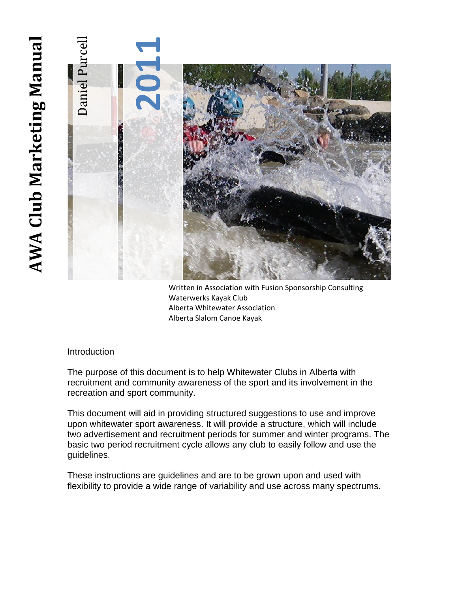# **AWA Club Marketing Manual** Frame that the contribution of the matter is a wide range of variability and use across many spectrums.<br>
Historian of the contribution of the contribution of the state of variability and the contribution of the purcell and **AWA Club Marketing Manua**

Written in Association with Fusion Sponsorship Consulting Waterwerks Kayak Club Alberta Whitewater Association Alberta Slalom Canoe Kayak

# Introduction

The purpose of this document is to help Whitewater Clubs in Alberta with recruitment and community awareness of the sport and its involvement in the recreation and sport community.

This document will aid in providing structured suggestions to use and improve upon whitewater sport awareness. It will provide a structure, which will include two advertisement and recruitment periods for summer and winter programs. The basic two period recruitment cycle allows any club to easily follow and use the guidelines.

These instructions are guidelines and are to be grown upon and used with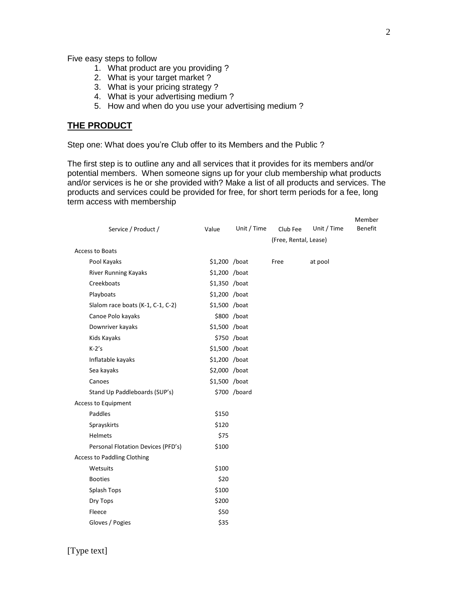Five easy steps to follow

- 1. What product are you providing ?
- 2. What is your target market ?
- 3. What is your pricing strategy ?
- 4. What is your advertising medium ?
- 5. How and when do you use your advertising medium ?

# **THE PRODUCT**

Step one: What does you're Club offer to its Members and the Public ?

The first step is to outline any and all services that it provides for its members and/or potential members. When someone signs up for your club membership what products and/or services is he or she provided with? Make a list of all products and services. The products and services could be provided for free, for short term periods for a fee, long term access with membership

|                     |                                    |                |              |                       |             | Member         |
|---------------------|------------------------------------|----------------|--------------|-----------------------|-------------|----------------|
|                     | Service / Product /                | Value          | Unit / Time  | Club Fee              | Unit / Time | <b>Benefit</b> |
|                     |                                    |                |              | (Free, Rental, Lease) |             |                |
|                     | Access to Boats                    |                |              |                       |             |                |
|                     | Pool Kayaks                        | $$1,200$ /boat |              | Free                  | at pool     |                |
|                     | River Running Kayaks               | \$1,200 /boat  |              |                       |             |                |
|                     | Creekboats                         | \$1,350 /boat  |              |                       |             |                |
|                     | Playboats                          | \$1,200 /boat  |              |                       |             |                |
|                     | Slalom race boats (K-1, C-1, C-2)  | $$1,500$ /boat |              |                       |             |                |
|                     | Canoe Polo kayaks                  |                | \$800 /boat  |                       |             |                |
|                     | Downriver kayaks                   | \$1,500 /boat  |              |                       |             |                |
|                     | Kids Kayaks                        |                | \$750 /boat  |                       |             |                |
|                     | $K-2's$                            | \$1,500 /boat  |              |                       |             |                |
|                     | Inflatable kayaks                  | \$1,200 /boat  |              |                       |             |                |
|                     | Sea kayaks                         | \$2,000 /boat  |              |                       |             |                |
|                     | Canoes                             | \$1,500 /boat  |              |                       |             |                |
|                     | Stand Up Paddleboards (SUP's)      |                | \$700 /board |                       |             |                |
| Access to Equipment |                                    |                |              |                       |             |                |
|                     | Paddles                            | \$150          |              |                       |             |                |
|                     | Sprayskirts                        | \$120          |              |                       |             |                |
|                     | <b>Helmets</b>                     | \$75           |              |                       |             |                |
|                     | Personal Flotation Devices (PFD's) | \$100          |              |                       |             |                |
|                     | <b>Access to Paddling Clothing</b> |                |              |                       |             |                |
|                     | Wetsuits                           | \$100          |              |                       |             |                |
|                     | <b>Booties</b>                     | \$20           |              |                       |             |                |
|                     | Splash Tops                        | \$100          |              |                       |             |                |
|                     | Dry Tops                           | \$200          |              |                       |             |                |
|                     | Fleece                             | \$50           |              |                       |             |                |
|                     | Gloves / Pogies                    | \$35           |              |                       |             |                |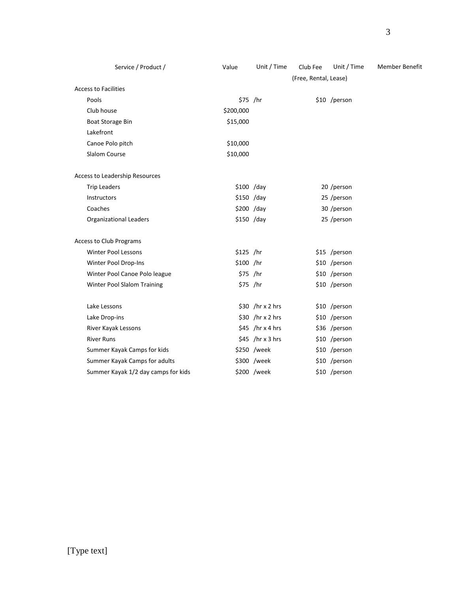| Service / Product /                 | Value      | Unit / Time       | Club Fee              | Unit / Time   | Member Benefit |
|-------------------------------------|------------|-------------------|-----------------------|---------------|----------------|
|                                     |            |                   | (Free, Rental, Lease) |               |                |
| <b>Access to Facilities</b>         |            |                   |                       |               |                |
| Pools                               | \$75 /hr   |                   |                       | \$10 /person  |                |
| Club house                          | \$200,000  |                   |                       |               |                |
| <b>Boat Storage Bin</b>             | \$15,000   |                   |                       |               |                |
| Lakefront                           |            |                   |                       |               |                |
| Canoe Polo pitch                    | \$10,000   |                   |                       |               |                |
| Slalom Course                       | \$10,000   |                   |                       |               |                |
| Access to Leadership Resources      |            |                   |                       |               |                |
| <b>Trip Leaders</b>                 |            | $$100$ /day       |                       | 20 /person    |                |
| Instructors                         |            | $$150$ /day       |                       | 25 /person    |                |
| Coaches                             |            | \$200 /day        |                       | 30 /person    |                |
| <b>Organizational Leaders</b>       |            | $$150$ /day       |                       | 25 /person    |                |
| <b>Access to Club Programs</b>      |            |                   |                       |               |                |
| <b>Winter Pool Lessons</b>          | $$125$ /hr |                   |                       | \$15 /person  |                |
| Winter Pool Drop-Ins                | \$100 /hr  |                   |                       | \$10 /person  |                |
| Winter Pool Canoe Polo league       | $$75$ /hr  |                   |                       | \$10 /person  |                |
| Winter Pool Slalom Training         | $$75$ /hr  |                   |                       | \$10 /person  |                |
| Lake Lessons                        |            | $$30$ /hr x 2 hrs |                       | \$10 /person  |                |
| Lake Drop-ins                       |            | $$30$ /hr x 2 hrs |                       | \$10 /person  |                |
| River Kayak Lessons                 |            | $$45$ /hr x 4 hrs |                       | \$36 /person  |                |
| <b>River Runs</b>                   |            | $$45$ /hr x 3 hrs |                       | $$10$ /person |                |
| Summer Kayak Camps for kids         |            | \$250 /week       |                       | \$10 /person  |                |
| Summer Kayak Camps for adults       |            | \$300 /week       |                       | \$10 /person  |                |
| Summer Kayak 1/2 day camps for kids |            | \$200 /week       |                       | \$10 /person  |                |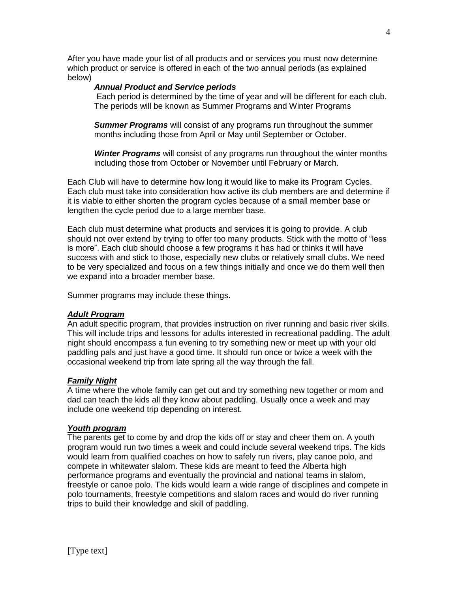After you have made your list of all products and or services you must now determine which product or service is offered in each of the two annual periods (as explained below)

# *Annual Product and Service periods*

Each period is determined by the time of year and will be different for each club. The periods will be known as Summer Programs and Winter Programs

*Summer Programs* will consist of any programs run throughout the summer months including those from April or May until September or October.

*Winter Programs* will consist of any programs run throughout the winter months including those from October or November until February or March.

Each Club will have to determine how long it would like to make its Program Cycles. Each club must take into consideration how active its club members are and determine if it is viable to either shorten the program cycles because of a small member base or lengthen the cycle period due to a large member base.

Each club must determine what products and services it is going to provide. A club should not over extend by trying to offer too many products. Stick with the motto of "less is more". Each club should choose a few programs it has had or thinks it will have success with and stick to those, especially new clubs or relatively small clubs. We need to be very specialized and focus on a few things initially and once we do them well then we expand into a broader member base.

Summer programs may include these things.

# *Adult Program*

An adult specific program, that provides instruction on river running and basic river skills. This will include trips and lessons for adults interested in recreational paddling. The adult night should encompass a fun evening to try something new or meet up with your old paddling pals and just have a good time. It should run once or twice a week with the occasional weekend trip from late spring all the way through the fall.

# *Family Night*

A time where the whole family can get out and try something new together or mom and dad can teach the kids all they know about paddling. Usually once a week and may include one weekend trip depending on interest.

# *Youth program*

The parents get to come by and drop the kids off or stay and cheer them on. A youth program would run two times a week and could include several weekend trips. The kids would learn from qualified coaches on how to safely run rivers, play canoe polo, and compete in whitewater slalom. These kids are meant to feed the Alberta high performance programs and eventually the provincial and national teams in slalom, freestyle or canoe polo. The kids would learn a wide range of disciplines and compete in polo tournaments, freestyle competitions and slalom races and would do river running trips to build their knowledge and skill of paddling.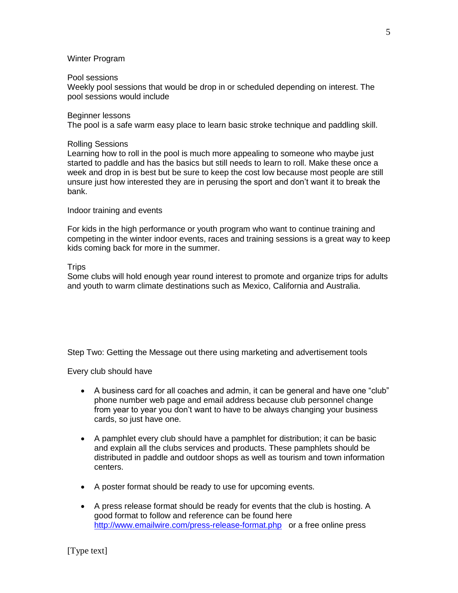# Winter Program

### Pool sessions

Weekly pool sessions that would be drop in or scheduled depending on interest. The pool sessions would include

### Beginner lessons

The pool is a safe warm easy place to learn basic stroke technique and paddling skill.

### Rolling Sessions

Learning how to roll in the pool is much more appealing to someone who maybe just started to paddle and has the basics but still needs to learn to roll. Make these once a week and drop in is best but be sure to keep the cost low because most people are still unsure just how interested they are in perusing the sport and don't want it to break the bank.

# Indoor training and events

For kids in the high performance or youth program who want to continue training and competing in the winter indoor events, races and training sessions is a great way to keep kids coming back for more in the summer.

### **Trips**

Some clubs will hold enough year round interest to promote and organize trips for adults and youth to warm climate destinations such as Mexico, California and Australia.

Step Two: Getting the Message out there using marketing and advertisement tools

Every club should have

- A business card for all coaches and admin, it can be general and have one "club" phone number web page and email address because club personnel change from year to year you don't want to have to be always changing your business cards, so just have one.
- A pamphlet every club should have a pamphlet for distribution; it can be basic and explain all the clubs services and products. These pamphlets should be distributed in paddle and outdoor shops as well as tourism and town information centers.
- A poster format should be ready to use for upcoming events.
- A press release format should be ready for events that the club is hosting. A good format to follow and reference can be found here <http://www.emailwire.com/press-release-format.php>or a free online press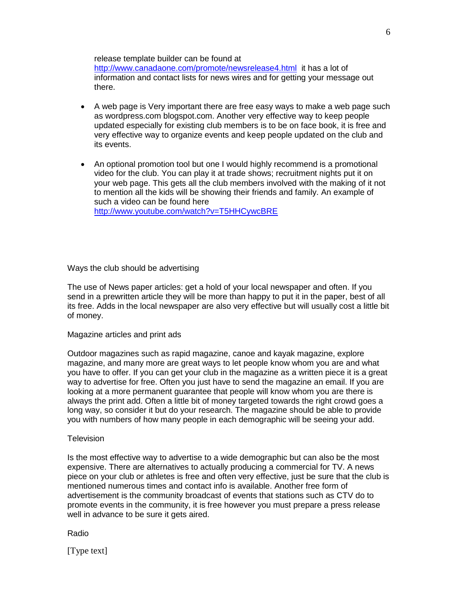release template builder can be found at <http://www.canadaone.com/promote/newsrelease4.html>it has a lot of

information and contact lists for news wires and for getting your message out there.

- A web page is Very important there are free easy ways to make a web page such as wordpress.com blogspot.com. Another very effective way to keep people updated especially for existing club members is to be on face book, it is free and very effective way to organize events and keep people updated on the club and its events.
- An optional promotion tool but one I would highly recommend is a promotional video for the club. You can play it at trade shows; recruitment nights put it on your web page. This gets all the club members involved with the making of it not to mention all the kids will be showing their friends and family. An example of such a video can be found here <http://www.youtube.com/watch?v=T5HHCywcBRE>

Ways the club should be advertising

The use of News paper articles: get a hold of your local newspaper and often. If you send in a prewritten article they will be more than happy to put it in the paper, best of all its free. Adds in the local newspaper are also very effective but will usually cost a little bit of money.

Magazine articles and print ads

Outdoor magazines such as rapid magazine, canoe and kayak magazine, explore magazine, and many more are great ways to let people know whom you are and what you have to offer. If you can get your club in the magazine as a written piece it is a great way to advertise for free. Often you just have to send the magazine an email. If you are looking at a more permanent guarantee that people will know whom you are there is always the print add. Often a little bit of money targeted towards the right crowd goes a long way, so consider it but do your research. The magazine should be able to provide you with numbers of how many people in each demographic will be seeing your add.

### **Television**

Is the most effective way to advertise to a wide demographic but can also be the most expensive. There are alternatives to actually producing a commercial for TV. A news piece on your club or athletes is free and often very effective, just be sure that the club is mentioned numerous times and contact info is available. Another free form of advertisement is the community broadcast of events that stations such as CTV do to promote events in the community, it is free however you must prepare a press release well in advance to be sure it gets aired.

Radio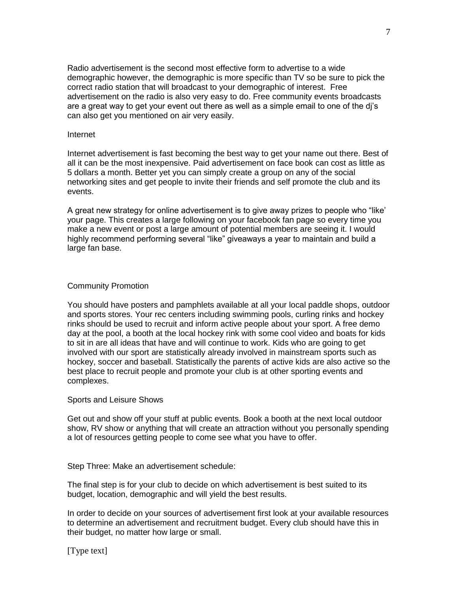Radio advertisement is the second most effective form to advertise to a wide demographic however, the demographic is more specific than TV so be sure to pick the correct radio station that will broadcast to your demographic of interest. Free advertisement on the radio is also very easy to do. Free community events broadcasts are a great way to get your event out there as well as a simple email to one of the dj's can also get you mentioned on air very easily.

### Internet

Internet advertisement is fast becoming the best way to get your name out there. Best of all it can be the most inexpensive. Paid advertisement on face book can cost as little as 5 dollars a month. Better yet you can simply create a group on any of the social networking sites and get people to invite their friends and self promote the club and its events.

A great new strategy for online advertisement is to give away prizes to people who "like' your page. This creates a large following on your facebook fan page so every time you make a new event or post a large amount of potential members are seeing it. I would highly recommend performing several "like" giveaways a year to maintain and build a large fan base.

# Community Promotion

You should have posters and pamphlets available at all your local paddle shops, outdoor and sports stores. Your rec centers including swimming pools, curling rinks and hockey rinks should be used to recruit and inform active people about your sport. A free demo day at the pool, a booth at the local hockey rink with some cool video and boats for kids to sit in are all ideas that have and will continue to work. Kids who are going to get involved with our sport are statistically already involved in mainstream sports such as hockey, soccer and baseball. Statistically the parents of active kids are also active so the best place to recruit people and promote your club is at other sporting events and complexes.

### Sports and Leisure Shows

Get out and show off your stuff at public events. Book a booth at the next local outdoor show, RV show or anything that will create an attraction without you personally spending a lot of resources getting people to come see what you have to offer.

Step Three: Make an advertisement schedule:

The final step is for your club to decide on which advertisement is best suited to its budget, location, demographic and will yield the best results.

In order to decide on your sources of advertisement first look at your available resources to determine an advertisement and recruitment budget. Every club should have this in their budget, no matter how large or small.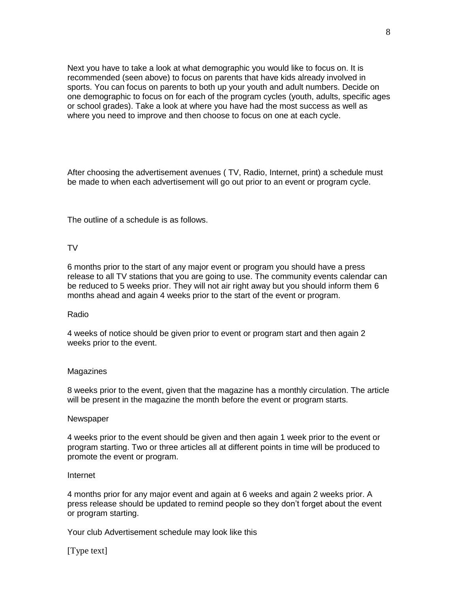Next you have to take a look at what demographic you would like to focus on. It is recommended (seen above) to focus on parents that have kids already involved in sports. You can focus on parents to both up your youth and adult numbers. Decide on one demographic to focus on for each of the program cycles (youth, adults, specific ages or school grades). Take a look at where you have had the most success as well as where you need to improve and then choose to focus on one at each cycle.

After choosing the advertisement avenues ( TV, Radio, Internet, print) a schedule must be made to when each advertisement will go out prior to an event or program cycle.

The outline of a schedule is as follows.

# TV

6 months prior to the start of any major event or program you should have a press release to all TV stations that you are going to use. The community events calendar can be reduced to 5 weeks prior. They will not air right away but you should inform them 6 months ahead and again 4 weeks prior to the start of the event or program.

### Radio

4 weeks of notice should be given prior to event or program start and then again 2 weeks prior to the event.

### Magazines

8 weeks prior to the event, given that the magazine has a monthly circulation. The article will be present in the magazine the month before the event or program starts.

### **Newspaper**

4 weeks prior to the event should be given and then again 1 week prior to the event or program starting. Two or three articles all at different points in time will be produced to promote the event or program.

# Internet

4 months prior for any major event and again at 6 weeks and again 2 weeks prior. A press release should be updated to remind people so they don't forget about the event or program starting.

Your club Advertisement schedule may look like this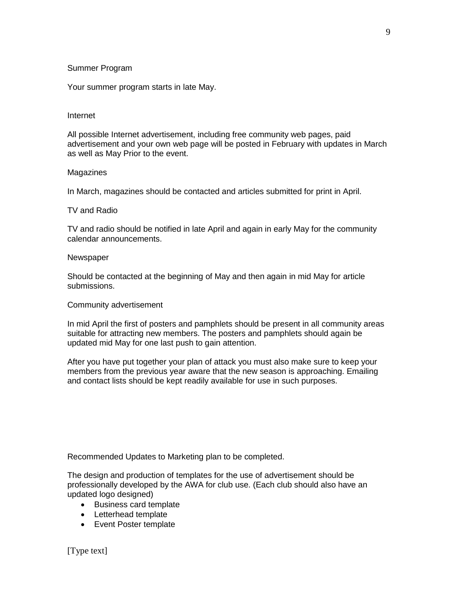# Summer Program

Your summer program starts in late May.

# Internet

All possible Internet advertisement, including free community web pages, paid advertisement and your own web page will be posted in February with updates in March as well as May Prior to the event.

# Magazines

In March, magazines should be contacted and articles submitted for print in April.

# TV and Radio

TV and radio should be notified in late April and again in early May for the community calendar announcements.

# **Newspaper**

Should be contacted at the beginning of May and then again in mid May for article submissions.

# Community advertisement

In mid April the first of posters and pamphlets should be present in all community areas suitable for attracting new members. The posters and pamphlets should again be updated mid May for one last push to gain attention.

After you have put together your plan of attack you must also make sure to keep your members from the previous year aware that the new season is approaching. Emailing and contact lists should be kept readily available for use in such purposes.

Recommended Updates to Marketing plan to be completed.

The design and production of templates for the use of advertisement should be professionally developed by the AWA for club use. (Each club should also have an updated logo designed)

- Business card template
- Letterhead template
- Event Poster template